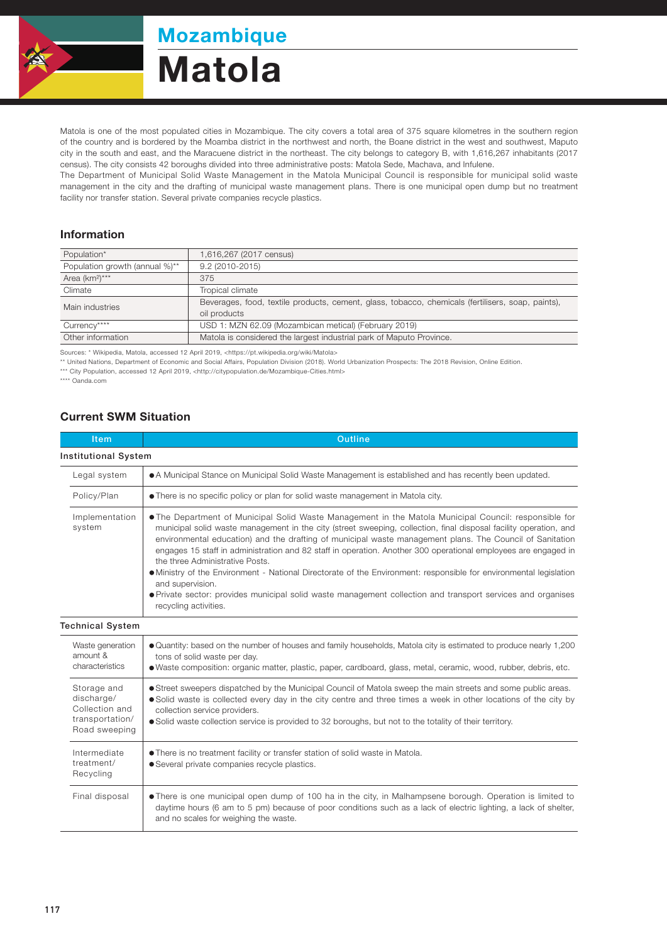

Mozambique

## Matola

Matola is one of the most populated cities in Mozambique. The city covers a total area of 375 square kilometres in the southern region of the country and is bordered by the Moamba district in the northwest and north, the Boane district in the west and southwest, Maputo city in the south and east, and the Maracuene district in the northeast. The city belongs to category B, with 1,616,267 inhabitants (2017 census). The city consists 42 boroughs divided into three administrative posts: Matola Sede, Machava, and Infulene.

The Department of Municipal Solid Waste Management in the Matola Municipal Council is responsible for municipal solid waste management in the city and the drafting of municipal waste management plans. There is one municipal open dump but no treatment facility nor transfer station. Several private companies recycle plastics.

## Information

| Population*                    | 1,616,267 (2017 census)                                                                           |  |  |
|--------------------------------|---------------------------------------------------------------------------------------------------|--|--|
| Population growth (annual %)** | $9.2(2010-2015)$                                                                                  |  |  |
| Area (km <sup>2</sup> )***     | 375                                                                                               |  |  |
| Climate                        | Tropical climate                                                                                  |  |  |
| Main industries                | Beverages, food, textile products, cement, glass, tobacco, chemicals (fertilisers, soap, paints), |  |  |
|                                | oil products                                                                                      |  |  |
| Currency****                   | USD 1: MZN 62.09 (Mozambican metical) (February 2019)                                             |  |  |
| Other information              | Matola is considered the largest industrial park of Maputo Province.                              |  |  |

Sources: \* Wikipedia, Matola, accessed 12 April 2019, <https://pt.wikipedia.org/wiki/Matola>

\*\* United Nations, Department of Economic and Social Affairs, Population Division (2018). World Urbanization Prospects: The 2018 Revision, Online Edition.

\*\*\* City Population, accessed 12 April 2019, <http://citypopulation.de/Mozambique-Cities.html>

\*\*\*\* Oanda.com

## Current SWM Situation

| <b>Item</b>                                                                     | <b>Outline</b>                                                                                                                                                                                                                                                                                                                                                                                                                                                                                                                                                                                                                                                                                                                                                                |  |  |
|---------------------------------------------------------------------------------|-------------------------------------------------------------------------------------------------------------------------------------------------------------------------------------------------------------------------------------------------------------------------------------------------------------------------------------------------------------------------------------------------------------------------------------------------------------------------------------------------------------------------------------------------------------------------------------------------------------------------------------------------------------------------------------------------------------------------------------------------------------------------------|--|--|
| <b>Institutional System</b>                                                     |                                                                                                                                                                                                                                                                                                                                                                                                                                                                                                                                                                                                                                                                                                                                                                               |  |  |
| Legal system                                                                    | • A Municipal Stance on Municipal Solid Waste Management is established and has recently been updated.                                                                                                                                                                                                                                                                                                                                                                                                                                                                                                                                                                                                                                                                        |  |  |
| Policy/Plan                                                                     | • There is no specific policy or plan for solid waste management in Matola city.                                                                                                                                                                                                                                                                                                                                                                                                                                                                                                                                                                                                                                                                                              |  |  |
| Implementation<br>system                                                        | . The Department of Municipal Solid Waste Management in the Matola Municipal Council: responsible for<br>municipal solid waste management in the city (street sweeping, collection, final disposal facility operation, and<br>environmental education) and the drafting of municipal waste management plans. The Council of Sanitation<br>engages 15 staff in administration and 82 staff in operation. Another 300 operational employees are engaged in<br>the three Administrative Posts.<br>• Ministry of the Environment - National Directorate of the Environment: responsible for environmental legislation<br>and supervision.<br>• Private sector: provides municipal solid waste management collection and transport services and organises<br>recycling activities. |  |  |
| <b>Technical System</b>                                                         |                                                                                                                                                                                                                                                                                                                                                                                                                                                                                                                                                                                                                                                                                                                                                                               |  |  |
| Waste generation<br>amount &<br>characteristics                                 | ● Quantity: based on the number of houses and family households, Matola city is estimated to produce nearly 1,200<br>tons of solid waste per day.<br>• Waste composition: organic matter, plastic, paper, cardboard, glass, metal, ceramic, wood, rubber, debris, etc.                                                                                                                                                                                                                                                                                                                                                                                                                                                                                                        |  |  |
| Storage and<br>discharge/<br>Collection and<br>transportation/<br>Road sweeping | • Street sweepers dispatched by the Municipal Council of Matola sweep the main streets and some public areas.<br>• Solid waste is collected every day in the city centre and three times a week in other locations of the city by<br>collection service providers.<br>• Solid waste collection service is provided to 32 boroughs, but not to the totality of their territory.                                                                                                                                                                                                                                                                                                                                                                                                |  |  |
| Intermediate<br>treatment/<br>Recycling                                         | • There is no treatment facility or transfer station of solid waste in Matola.<br>• Several private companies recycle plastics.                                                                                                                                                                                                                                                                                                                                                                                                                                                                                                                                                                                                                                               |  |  |
| Final disposal                                                                  | • There is one municipal open dump of 100 ha in the city, in Malhampsene borough. Operation is limited to<br>daytime hours (6 am to 5 pm) because of poor conditions such as a lack of electric lighting, a lack of shelter,<br>and no scales for weighing the waste.                                                                                                                                                                                                                                                                                                                                                                                                                                                                                                         |  |  |